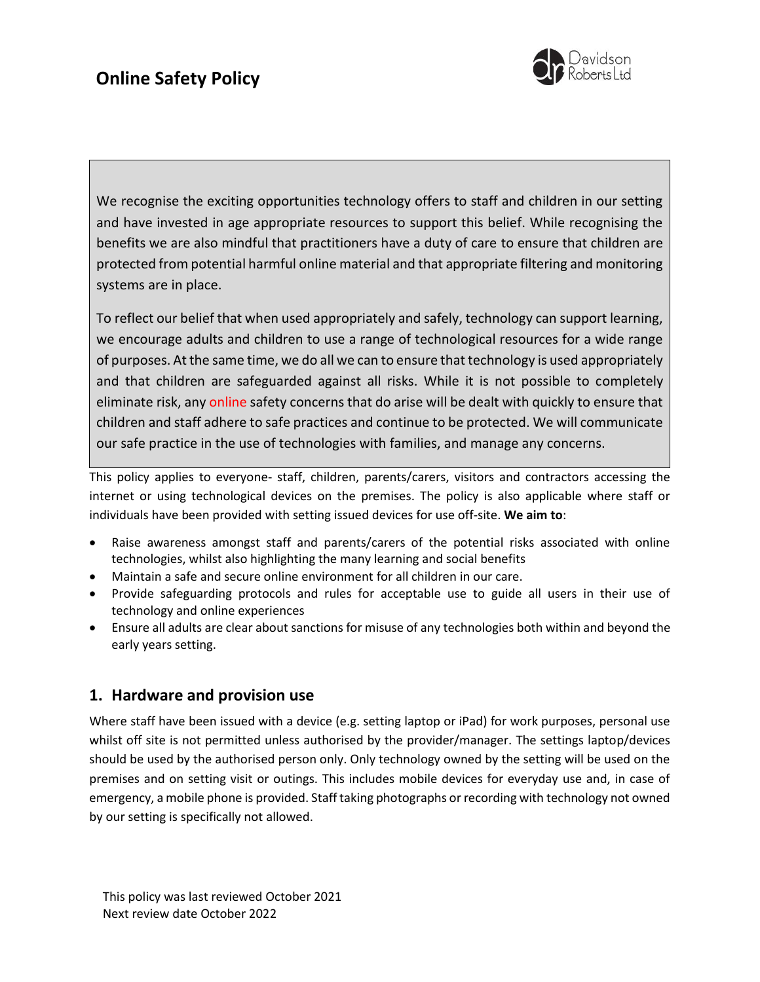

We recognise the exciting opportunities technology offers to staff and children in our setting and have invested in age appropriate resources to support this belief. While recognising the benefits we are also mindful that practitioners have a duty of care to ensure that children are protected from potential harmful online material and that appropriate filtering and monitoring systems are in place.

To reflect our belief that when used appropriately and safely, technology can support learning, we encourage adults and children to use a range of technological resources for a wide range of purposes. At the same time, we do all we can to ensure that technology is used appropriately and that children are safeguarded against all risks. While it is not possible to completely eliminate risk, any online safety concerns that do arise will be dealt with quickly to ensure that children and staff adhere to safe practices and continue to be protected. We will communicate our safe practice in the use of technologies with families, and manage any concerns.

This policy applies to everyone- staff, children, parents/carers, visitors and contractors accessing the internet or using technological devices on the premises. The policy is also applicable where staff or individuals have been provided with setting issued devices for use off-site. **We aim to**:

- Raise awareness amongst staff and parents/carers of the potential risks associated with online technologies, whilst also highlighting the many learning and social benefits
- Maintain a safe and secure online environment for all children in our care.
- Provide safeguarding protocols and rules for acceptable use to guide all users in their use of technology and online experiences
- Ensure all adults are clear about sanctions for misuse of any technologies both within and beyond the early years setting.

## **1. Hardware and provision use**

Where staff have been issued with a device (e.g. setting laptop or iPad) for work purposes, personal use whilst off site is not permitted unless authorised by the provider/manager. The settings laptop/devices should be used by the authorised person only. Only technology owned by the setting will be used on the premises and on setting visit or outings. This includes mobile devices for everyday use and, in case of emergency, a mobile phone is provided. Staff taking photographs or recording with technology not owned by our setting is specifically not allowed.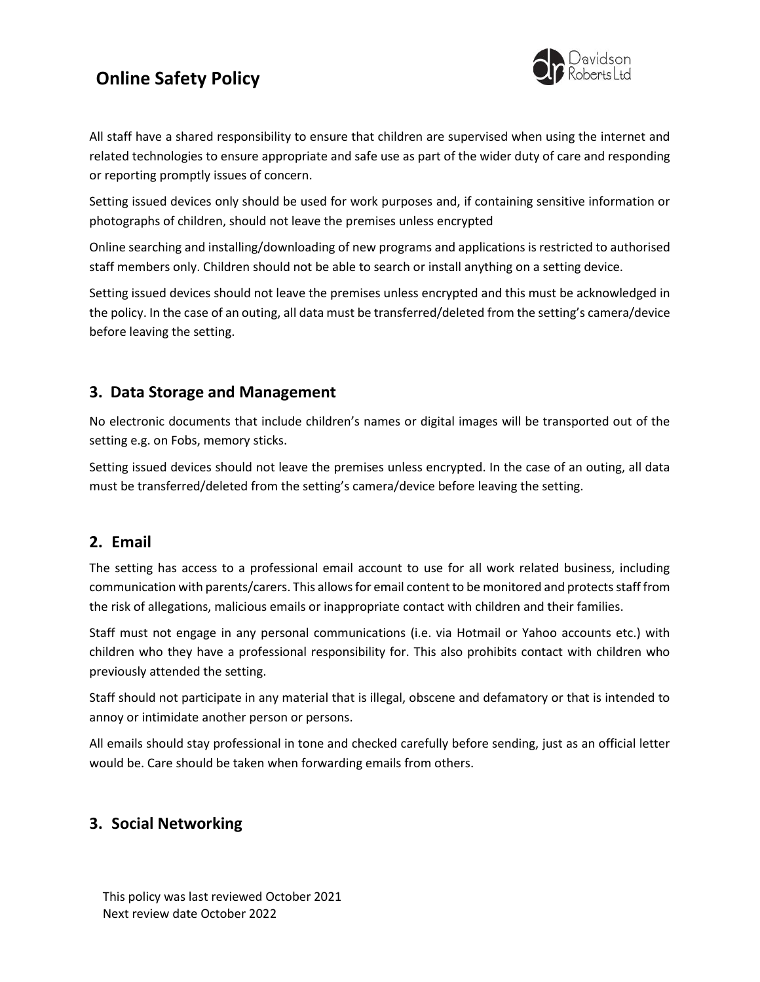# **Online Safety Policy**



All staff have a shared responsibility to ensure that children are supervised when using the internet and related technologies to ensure appropriate and safe use as part of the wider duty of care and responding or reporting promptly issues of concern.

Setting issued devices only should be used for work purposes and, if containing sensitive information or photographs of children, should not leave the premises unless encrypted

Online searching and installing/downloading of new programs and applications is restricted to authorised staff members only. Children should not be able to search or install anything on a setting device.

Setting issued devices should not leave the premises unless encrypted and this must be acknowledged in the policy. In the case of an outing, all data must be transferred/deleted from the setting's camera/device before leaving the setting.

## **3. Data Storage and Management**

No electronic documents that include children's names or digital images will be transported out of the setting e.g. on Fobs, memory sticks.

Setting issued devices should not leave the premises unless encrypted. In the case of an outing, all data must be transferred/deleted from the setting's camera/device before leaving the setting.

### **2. Email**

The setting has access to a professional email account to use for all work related business, including communication with parents/carers. This allows for email content to be monitored and protects staff from the risk of allegations, malicious emails or inappropriate contact with children and their families.

Staff must not engage in any personal communications (i.e. via Hotmail or Yahoo accounts etc.) with children who they have a professional responsibility for. This also prohibits contact with children who previously attended the setting.

Staff should not participate in any material that is illegal, obscene and defamatory or that is intended to annoy or intimidate another person or persons.

All emails should stay professional in tone and checked carefully before sending, just as an official letter would be. Care should be taken when forwarding emails from others.

## **3. Social Networking**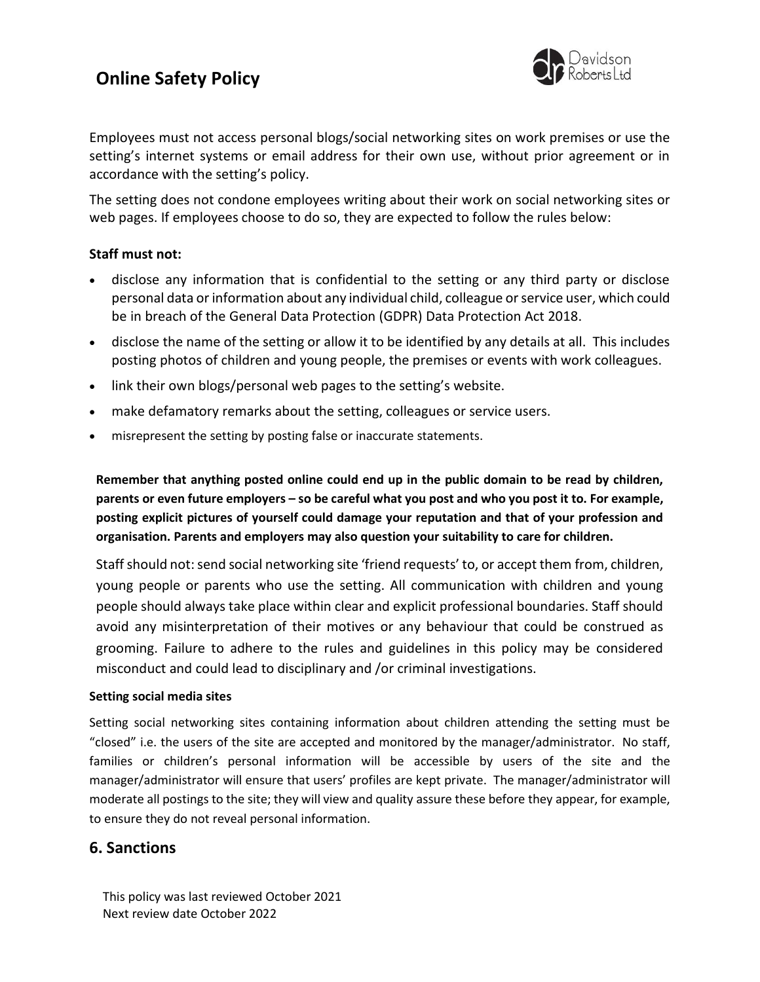# **Online Safety Policy**



Employees must not access personal blogs/social networking sites on work premises or use the setting's internet systems or email address for their own use, without prior agreement or in accordance with the setting's policy.

The setting does not condone employees writing about their work on social networking sites or web pages. If employees choose to do so, they are expected to follow the rules below:

#### **Staff must not:**

- disclose any information that is confidential to the setting or any third party or disclose personal data or information about any individual child, colleague or service user, which could be in breach of the General Data Protection (GDPR) Data Protection Act 2018.
- disclose the name of the setting or allow it to be identified by any details at all. This includes posting photos of children and young people, the premises or events with work colleagues.
- link their own blogs/personal web pages to the setting's website.
- make defamatory remarks about the setting, colleagues or service users.
- misrepresent the setting by posting false or inaccurate statements.

**Remember that anything posted online could end up in the public domain to be read by children, parents or even future employers – so be careful what you post and who you post it to. For example, posting explicit pictures of yourself could damage your reputation and that of your profession and organisation. Parents and employers may also question your suitability to care for children.**

Staff should not: send social networking site 'friend requests' to, or accept them from, children, young people or parents who use the setting. All communication with children and young people should always take place within clear and explicit professional boundaries. Staff should avoid any misinterpretation of their motives or any behaviour that could be construed as grooming. Failure to adhere to the rules and guidelines in this policy may be considered misconduct and could lead to disciplinary and /or criminal investigations.

#### **Setting social media sites**

Setting social networking sites containing information about children attending the setting must be "closed" i.e. the users of the site are accepted and monitored by the manager/administrator. No staff, families or children's personal information will be accessible by users of the site and the manager/administrator will ensure that users' profiles are kept private. The manager/administrator will moderate all postings to the site; they will view and quality assure these before they appear, for example, to ensure they do not reveal personal information.

## **6. Sanctions**

This policy was last reviewed October 2021 Next review date October 2022